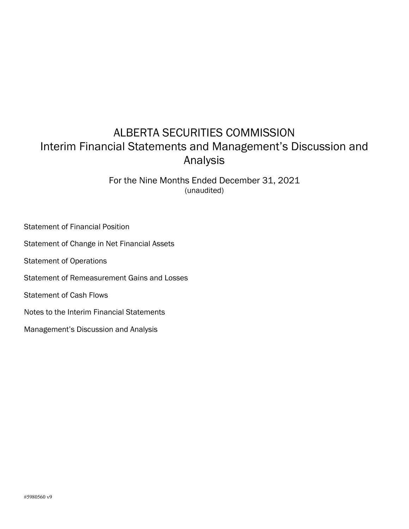# ALBERTA SECURITIES COMMISSION Interim Financial Statements and Management's Discussion and Analysis

For the Nine Months Ended December 31, 2021 (unaudited)

Statement of Financial Position Statement of Change in Net Financial Assets Statement of Operations Statement of Remeasurement Gains and Losses Statement of Cash Flows Notes to the Interim Financial Statements Management's Discussion and Analysis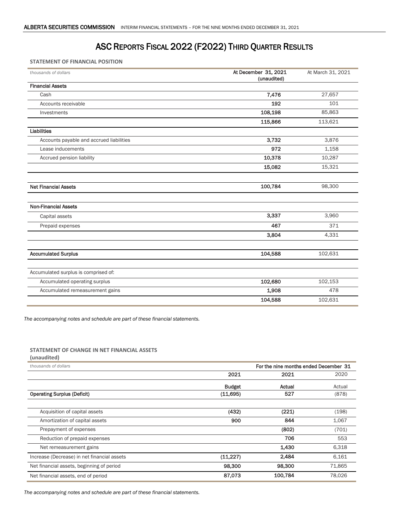## ASC REPORTS FISCAL 2022 (F2022) THIRD QUARTER RESULTS

**STATEMENT OF FINANCIAL POSITION**

| thousands of dollars                     | At December 31, 2021<br>(unaudited) | At March 31, 2021 |
|------------------------------------------|-------------------------------------|-------------------|
| <b>Financial Assets</b>                  |                                     |                   |
| Cash                                     | 7,476                               | 27,657            |
| Accounts receivable                      | 192                                 | 101               |
| Investments                              | 108,198                             | 85,863            |
|                                          | 115,866                             | 113,621           |
| Liabilities                              |                                     |                   |
| Accounts payable and accrued liabilities | 3,732                               | 3,876             |
| Lease inducements                        | 972                                 | 1,158             |
| Accrued pension liability                | 10,378                              | 10,287            |
|                                          | 15,082                              | 15,321            |
| <b>Net Financial Assets</b>              | 100,784                             | 98,300            |
|                                          |                                     |                   |
| <b>Non-Financial Assets</b>              |                                     |                   |
| Capital assets                           | 3,337                               | 3,960             |
| Prepaid expenses                         | 467                                 | 371               |
|                                          | 3,804                               | 4,331             |
|                                          |                                     |                   |
| <b>Accumulated Surplus</b>               | 104,588                             | 102,631           |
|                                          |                                     |                   |
| Accumulated surplus is comprised of:     |                                     |                   |
| Accumulated operating surplus            | 102,680                             | 102,153           |
| Accumulated remeasurement gains          | 1,908                               | 478               |
|                                          | 104,588                             | 102,631           |

*The accompanying notes and schedule are part of these financial statements.*

#### **STATEMENT OF CHANGE IN NET FINANCIAL ASSETS**

| (unaudited)                                 |               |                                       |        |  |
|---------------------------------------------|---------------|---------------------------------------|--------|--|
| thousands of dollars                        |               | For the nine months ended December 31 |        |  |
|                                             | 2021          | 2021                                  | 2020   |  |
|                                             | <b>Budget</b> | Actual                                | Actual |  |
| <b>Operating Surplus (Deficit)</b>          | (11,695)      | 527                                   | (878)  |  |
| Acquisition of capital assets               | (432)         | (221)                                 | (198)  |  |
| Amortization of capital assets              | 900           | 844                                   | 1,067  |  |
| Prepayment of expenses                      |               | (802)                                 | (701)  |  |
| Reduction of prepaid expenses               |               | 706                                   | 553    |  |
| Net remeasurement gains                     |               | 1,430                                 | 6,318  |  |
| Increase (Decrease) in net financial assets | (11, 227)     | 2,484                                 | 6,161  |  |
| Net financial assets, beginning of period   | 98,300        | 98,300                                | 71,865 |  |
| Net financial assets, end of period         | 87,073        | 100,784                               | 78,026 |  |

*The accompanying notes and schedule are part of these financial statements.*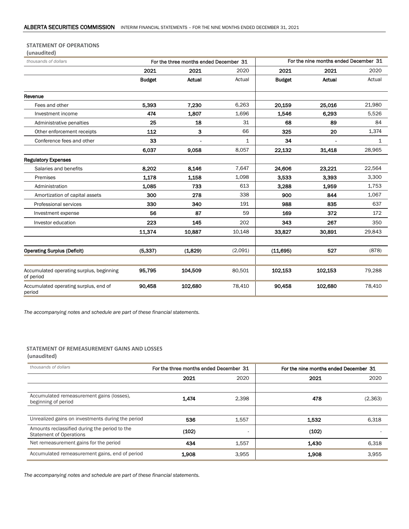#### **STATEMENT OF OPERATIONS**

| (unaudited)                                                    |               |         |                                       |               |         |              |
|----------------------------------------------------------------|---------------|---------|---------------------------------------|---------------|---------|--------------|
| thousands of dollars<br>For the three months ended December 31 |               |         | For the nine months ended December 31 |               |         |              |
|                                                                | 2021          | 2021    | 2020                                  | 2021          | 2021    | 2020         |
|                                                                | <b>Budget</b> | Actual  | Actual                                | <b>Budget</b> | Actual  | Actual       |
| Revenue                                                        |               |         |                                       |               |         |              |
| Fees and other                                                 | 5.393         | 7.230   | 6,263                                 | 20,159        | 25.016  | 21,980       |
| Investment income                                              | 474           | 1,807   | 1,696                                 | 1,546         | 6,293   | 5,526        |
| Administrative penalties                                       | 25            | 18      | 31                                    | 68            | 89      | 84           |
| Other enforcement receipts                                     | 112           | 3       | 66                                    | 325           | 20      | 1,374        |
| Conference fees and other                                      | 33            |         | $\mathbf{1}$                          | 34            |         | $\mathbf{1}$ |
|                                                                | 6.037         | 9,058   | 8.057                                 | 22,132        | 31.418  | 28,965       |
| <b>Regulatory Expenses</b>                                     |               |         |                                       |               |         |              |
| Salaries and benefits                                          | 8.202         | 8.146   | 7,647                                 | 24,606        | 23.221  | 22,564       |
| Premises                                                       | 1.178         | 1,158   | 1,098                                 | 3,533         | 3,393   | 3,300        |
| Administration                                                 | 1.085         | 733     | 613                                   | 3.288         | 1.959   | 1,753        |
| Amortization of capital assets                                 | 300           | 278     | 338                                   | 900           | 844     | 1,067        |
| Professional services                                          | 330           | 340     | 191                                   | 988           | 835     | 637          |
| Investment expense                                             | 56            | 87      | 59                                    | 169           | 372     | 172          |
| Investor education                                             | 223           | 145     | 202                                   | 343           | 267     | 350          |
|                                                                | 11.374        | 10,887  | 10,148                                | 33,827        | 30,891  | 29,843       |
|                                                                |               |         |                                       |               |         |              |
| <b>Operating Surplus (Deficit)</b>                             | (5, 337)      | (1,829) | (2.091)                               | (11,695)      | 527     | (878)        |
|                                                                |               |         |                                       |               |         |              |
| Accumulated operating surplus, beginning<br>of period          | 95,795        | 104,509 | 80,501                                | 102,153       | 102,153 | 79,288       |
| Accumulated operating surplus, end of<br>period                | 90,458        | 102,680 | 78,410                                | 90,458        | 102,680 | 78,410       |

*The accompanying notes and schedule are part of these financial statements.*

## **STATEMENT OF REMEASUREMENT GAINS AND LOSSES**

#### **(unaudited)**

| thousands of dollars                                                            | For the three months ended December 31 |       | For the nine months ended December 31 |          |  |
|---------------------------------------------------------------------------------|----------------------------------------|-------|---------------------------------------|----------|--|
|                                                                                 | 2021                                   | 2020  | 2021                                  | 2020     |  |
|                                                                                 |                                        |       |                                       |          |  |
| Accumulated remeasurement gains (losses),<br>beginning of period                | 1,474                                  | 2,398 | 478                                   | (2, 363) |  |
|                                                                                 |                                        |       |                                       |          |  |
| Unrealized gains on investments during the period                               | 536                                    | 1,557 | 1.532                                 | 6,318    |  |
| Amounts reclassified during the period to the<br><b>Statement of Operations</b> | (102)                                  |       | (102)                                 |          |  |
| Net remeasurement gains for the period                                          | 434                                    | 1,557 | 1.430                                 | 6,318    |  |
| Accumulated remeasurement gains, end of period                                  | 1.908                                  | 3,955 | 1,908                                 | 3,955    |  |

*The accompanying notes and schedule are part of these financial statements.*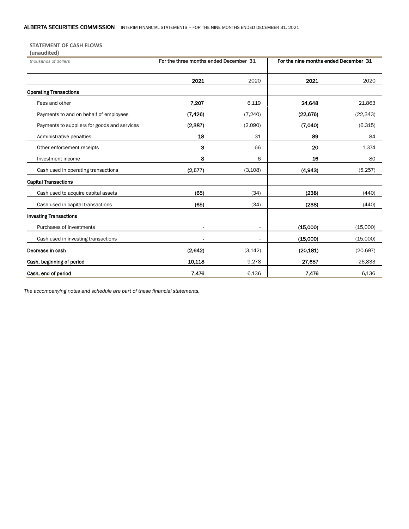#### **STATEMENT OF CASH FLOWS (unaudited)**

| (unduulteu)                                  |                                        |                          |                                       |           |  |
|----------------------------------------------|----------------------------------------|--------------------------|---------------------------------------|-----------|--|
| thousands of dollars                         | For the three months ended December 31 |                          | For the nine months ended December 31 |           |  |
|                                              | 2021                                   | 2020                     | 2021                                  | 2020      |  |
| <b>Operating Transactions</b>                |                                        |                          |                                       |           |  |
| Fees and other                               | 7.207                                  | 6,119                    | 24,648                                | 21,863    |  |
| Payments to and on behalf of employees       | (7, 426)                               | (7, 240)                 | (22, 676)                             | (22, 343) |  |
| Payments to suppliers for goods and services | (2, 387)                               | (2,090)                  | (7,040)                               | (6,315)   |  |
| Administrative penalties                     | 18                                     | 31                       | 89                                    | 84        |  |
| Other enforcement receipts                   | з                                      | 66                       | 20                                    | 1,374     |  |
| Investment income                            | 8                                      | 6                        | 16                                    | 80        |  |
| Cash used in operating transactions          | (2,577)                                | (3, 108)                 | (4,943)                               | (5,257)   |  |
| <b>Capital Transactions</b>                  |                                        |                          |                                       |           |  |
| Cash used to acquire capital assets          | (65)                                   | (34)                     | (238)                                 | (440)     |  |
| Cash used in capital transactions            | (65)                                   | (34)                     | (238)                                 | (440)     |  |
| <b>Investing Transactions</b>                |                                        |                          |                                       |           |  |
| Purchases of investments                     |                                        | $\overline{\phantom{a}}$ | (15,000)                              | (15,000)  |  |
| Cash used in investing transactions          |                                        |                          | (15,000)                              | (15,000)  |  |
| Decrease in cash                             | (2,642)                                | (3, 142)                 | (20, 181)                             | (20, 697) |  |
| Cash, beginning of period                    | 10,118                                 | 9,278                    | 27,657                                | 26,833    |  |
| Cash, end of period                          | 7,476                                  | 6,136                    | 7,476                                 | 6,136     |  |

*The accompanying notes and schedule are part of these financial statements.*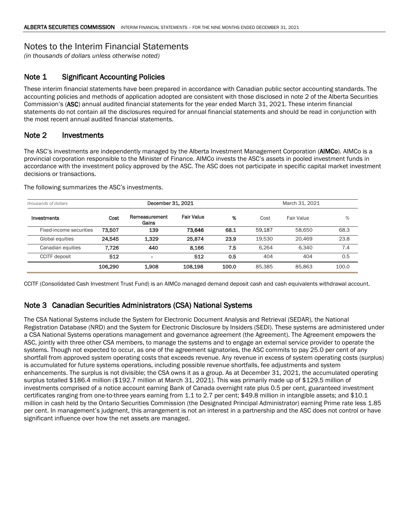## Notes to the Interim Financial Statements

*(in thousands of dollars unless otherwise noted)*

### Note 1 Significant Accounting Policies

These interim financial statements have been prepared in accordance with Canadian public sector accounting standards. The accounting policies and methods of application adopted are consistent with those disclosed in note 2 of the Alberta Securities Commission's (ASC) annual audited financial statements for the year ended March 31, 2021. These interim financial statements do not contain all the disclosures required for annual financial statements and should be read in conjunction with the most recent annual audited financial statements.

#### Note 2 Investments

The ASC's investments are independently managed by the Alberta Investment Management Corporation (AIMCo). AIMCo is a provincial corporation responsible to the Minister of Finance. AIMCo invests the ASC's assets in pooled investment funds in accordance with the investment policy approved by the ASC. The ASC does not participate in specific capital market investment decisions or transactions.

| thousands of dollars    |         |                        | December 31, 2021 |       |        | March 31, 2021 |       |
|-------------------------|---------|------------------------|-------------------|-------|--------|----------------|-------|
| Investments             | Cost    | Remeasurement<br>Gains | <b>Fair Value</b> | %     | Cost   | Fair Value     | $\%$  |
| Fixed-income securities | 73,507  | 139                    | 73.646            | 68.1  | 59.187 | 58.650         | 68.3  |
| Global equities         | 24.545  | 1,329                  | 25,874            | 23.9  | 19.530 | 20.469         | 23.8  |
| Canadian equities       | 7.726   | 440                    | 8.166             | 7.5   | 6.264  | 6.340          | 7.4   |
| <b>CCITF</b> deposit    | 512     | ۰                      | 512               | 0.5   | 404    | 404            | 0.5   |
|                         | 106,290 | 1,908                  | 108.198           | 100.0 | 85.385 | 85.863         | 100.0 |

The following summarizes the ASC's investments.

CCITF (Consolidated Cash Investment Trust Fund) is an AIMCo managed demand deposit cash and cash equivalents withdrawal account.

### Note 3 Canadian Securities Administrators (CSA) National Systems

The CSA National Systems include the System for Electronic Document Analysis and Retrieval (SEDAR), the National Registration Database (NRD) and the System for Electronic Disclosure by Insiders (SEDI). These systems are administered under a CSA National Systems operations management and governance agreement (the Agreement). The Agreement empowers the ASC, jointly with three other CSA members, to manage the systems and to engage an external service provider to operate the systems. Though not expected to occur, as one of the agreement signatories, the ASC commits to pay 25.0 per cent of any shortfall from approved system operating costs that exceeds revenue. Any revenue in excess of system operating costs (surplus) is accumulated for future systems operations, including possible revenue shortfalls, fee adjustments and system enhancements. The surplus is not divisible; the CSA owns it as a group. As at December 31, 2021, the accumulated operating surplus totalled \$186.4 million (\$192.7 million at March 31, 2021). This was primarily made up of \$129.5 million of investments comprised of a notice account earning Bank of Canada overnight rate plus 0.5 per cent, guaranteed investment certificates ranging from one-to-three years earning from 1.1 to 2.7 per cent; \$49.8 million in intangible assets; and \$10.1 million in cash held by the Ontario Securities Commission (the Designated Principal Administrator) earning Prime rate less 1.85 per cent. In management's judgment, this arrangement is not an interest in a partnership and the ASC does not control or have significant influence over how the net assets are managed.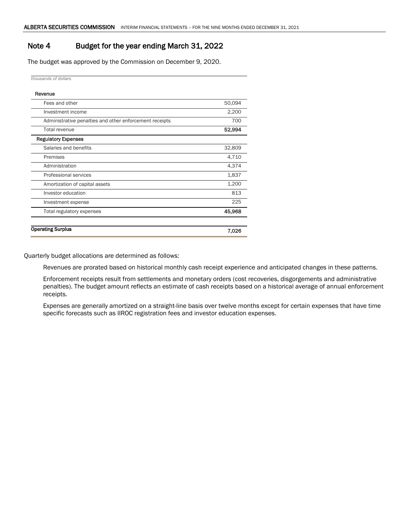### Note 4 Budget for the year ending March 31, 2022

The budget was approved by the Commission on December 9, 2020.

*thousands of dollars*

| Revenue                                                 |        |
|---------------------------------------------------------|--------|
| Fees and other                                          | 50,094 |
| Investment income                                       | 2,200  |
| Administrative penalties and other enforcement receipts | 700    |
| <b>Total revenue</b>                                    | 52,994 |
| <b>Regulatory Expenses</b>                              |        |
| Salaries and benefits                                   | 32,809 |
| Premises                                                | 4,710  |
| Administration                                          | 4,374  |
| Professional services                                   | 1,837  |
| Amortization of capital assets                          | 1,200  |
| Investor education                                      | 813    |
| Investment expense                                      | 225    |
| Total regulatory expenses                               | 45,968 |
|                                                         |        |
| <b>Operating Surplus</b>                                | 7,026  |
|                                                         |        |

Quarterly budget allocations are determined as follows:

Revenues are prorated based on historical monthly cash receipt experience and anticipated changes in these patterns.

Enforcement receipts result from settlements and monetary orders (cost recoveries, disgorgements and administrative penalties). The budget amount reflects an estimate of cash receipts based on a historical average of annual enforcement receipts.

Expenses are generally amortized on a straight-line basis over twelve months except for certain expenses that have time specific forecasts such as IIROC registration fees and investor education expenses.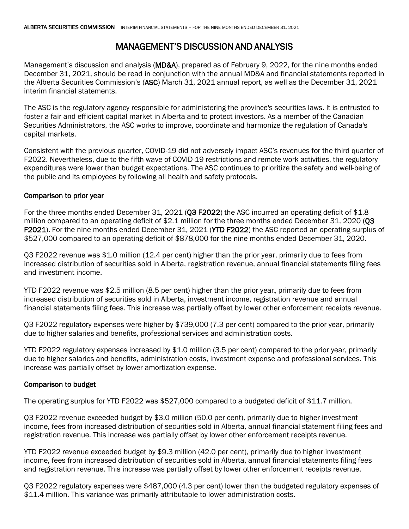# MANAGEMENT'S DISCUSSION AND ANALYSIS

Management's discussion and analysis (MD&A), prepared as of February 9, 2022, for the nine months ended December 31, 2021, should be read in conjunction with the annual MD&A and financial statements reported in the Alberta Securities Commission's (ASC) March 31, 2021 annual report, as well as the December 31, 2021 interim financial statements.

The ASC is the regulatory agency responsible for administering the province's securities laws. It is entrusted to foster a fair and efficient capital market in Alberta and to protect investors. As a member of the Canadian Securities Administrators, the ASC works to improve, coordinate and harmonize the regulation of Canada's capital markets.

Consistent with the previous quarter, COVID-19 did not adversely impact ASC's revenues for the third quarter of F2022. Nevertheless, due to the fifth wave of COVID-19 restrictions and remote work activities, the regulatory expenditures were lower than budget expectations. The ASC continues to prioritize the safety and well-being of the public and its employees by following all health and safety protocols.

### Comparison to prior year

For the three months ended December 31, 2021 (Q3 F2022) the ASC incurred an operating deficit of \$1.8 million compared to an operating deficit of \$2.1 million for the three months ended December 31, 2020 (Q3 F2021). For the nine months ended December 31, 2021 (YTD F2022) the ASC reported an operating surplus of \$527,000 compared to an operating deficit of \$878,000 for the nine months ended December 31, 2020.

Q3 F2022 revenue was \$1.0 million (12.4 per cent) higher than the prior year, primarily due to fees from increased distribution of securities sold in Alberta, registration revenue, annual financial statements filing fees and investment income.

YTD F2022 revenue was \$2.5 million (8.5 per cent) higher than the prior year, primarily due to fees from increased distribution of securities sold in Alberta, investment income, registration revenue and annual financial statements filing fees. This increase was partially offset by lower other enforcement receipts revenue.

Q3 F2022 regulatory expenses were higher by \$739,000 (7.3 per cent) compared to the prior year, primarily due to higher salaries and benefits, professional services and administration costs.

YTD F2022 regulatory expenses increased by \$1.0 million (3.5 per cent) compared to the prior year, primarily due to higher salaries and benefits, administration costs, investment expense and professional services. This increase was partially offset by lower amortization expense.

### Comparison to budget

The operating surplus for YTD F2022 was \$527,000 compared to a budgeted deficit of \$11.7 million.

Q3 F2022 revenue exceeded budget by \$3.0 million (50.0 per cent), primarily due to higher investment income, fees from increased distribution of securities sold in Alberta, annual financial statement filing fees and registration revenue. This increase was partially offset by lower other enforcement receipts revenue.

YTD F2022 revenue exceeded budget by \$9.3 million (42.0 per cent), primarily due to higher investment income, fees from increased distribution of securities sold in Alberta, annual financial statements filing fees and registration revenue. This increase was partially offset by lower other enforcement receipts revenue.

Q3 F2022 regulatory expenses were \$487,000 (4.3 per cent) lower than the budgeted regulatory expenses of \$11.4 million. This variance was primarily attributable to lower administration costs.